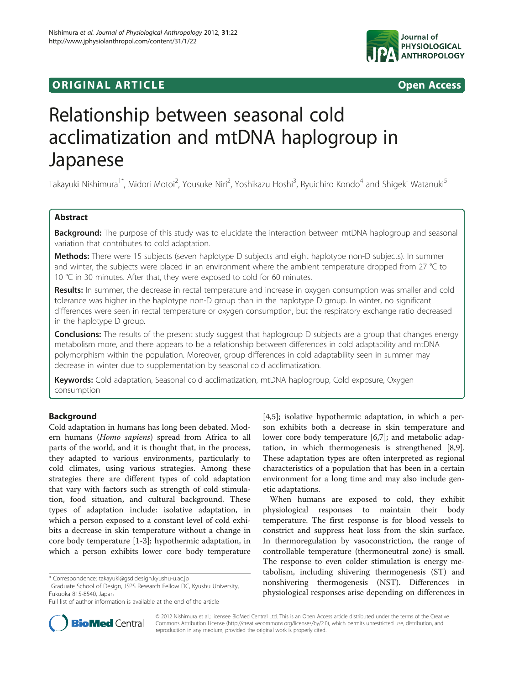



# Relationship between seasonal cold acclimatization and mtDNA haplogroup in Japanese

Takayuki Nishimura<sup>1\*</sup>, Midori Motoi<sup>2</sup>, Yousuke Niri<sup>2</sup>, Yoshikazu Hoshi<sup>3</sup>, Ryuichiro Kondo<sup>4</sup> and Shigeki Watanuki<sup>5</sup>

# Abstract

Background: The purpose of this study was to elucidate the interaction between mtDNA haplogroup and seasonal variation that contributes to cold adaptation.

Methods: There were 15 subjects (seven haplotype D subjects and eight haplotype non-D subjects). In summer and winter, the subjects were placed in an environment where the ambient temperature dropped from 27 °C to 10 °C in 30 minutes. After that, they were exposed to cold for 60 minutes.

Results: In summer, the decrease in rectal temperature and increase in oxygen consumption was smaller and cold tolerance was higher in the haplotype non-D group than in the haplotype D group. In winter, no significant differences were seen in rectal temperature or oxygen consumption, but the respiratory exchange ratio decreased in the haplotype D group.

Conclusions: The results of the present study suggest that haplogroup D subjects are a group that changes energy metabolism more, and there appears to be a relationship between differences in cold adaptability and mtDNA polymorphism within the population. Moreover, group differences in cold adaptability seen in summer may decrease in winter due to supplementation by seasonal cold acclimatization.

Keywords: Cold adaptation, Seasonal cold acclimatization, mtDNA haplogroup, Cold exposure, Oxygen consumption

# Background

Cold adaptation in humans has long been debated. Modern humans (Homo sapiens) spread from Africa to all parts of the world, and it is thought that, in the process, they adapted to various environments, particularly to cold climates, using various strategies. Among these strategies there are different types of cold adaptation that vary with factors such as strength of cold stimulation, food situation, and cultural background. These types of adaptation include: isolative adaptation, in which a person exposed to a constant level of cold exhibits a decrease in skin temperature without a change in core body temperature [\[1-](#page-8-0)[3](#page-9-0)]; hypothermic adaptation, in which a person exhibits lower core body temperature

[[4,5\]](#page-9-0); isolative hypothermic adaptation, in which a person exhibits both a decrease in skin temperature and lower core body temperature [[6](#page-9-0),[7\]](#page-9-0); and metabolic adaptation, in which thermogenesis is strengthened [\[8,9](#page-9-0)]. These adaptation types are often interpreted as regional characteristics of a population that has been in a certain environment for a long time and may also include genetic adaptations.

When humans are exposed to cold, they exhibit physiological responses to maintain their body temperature. The first response is for blood vessels to constrict and suppress heat loss from the skin surface. In thermoregulation by vasoconstriction, the range of controllable temperature (thermoneutral zone) is small. The response to even colder stimulation is energy metabolism, including shivering thermogenesis (ST) and nonshivering thermogenesis (NST). Differences in physiological responses arise depending on differences in



© 2012 Nishimura et al.; licensee BioMed Central Ltd. This is an Open Access article distributed under the terms of the Creative Commons Attribution License [\(http://creativecommons.org/licenses/by/2.0\)](http://creativecommons.org/licenses/by/2.0), which permits unrestricted use, distribution, and reproduction in any medium, provided the original work is properly cited.

<sup>\*</sup> Correspondence: [takayuki@gsd.design.kyushu-u.ac.jp](mailto:takayuki@gsd.design.kyushu--.ac.jp) <sup>1</sup>

<sup>&</sup>lt;sup>1</sup>Graduate School of Design, JSPS Research Fellow DC, Kyushu University, Fukuoka 815-8540, Japan

Full list of author information is available at the end of the article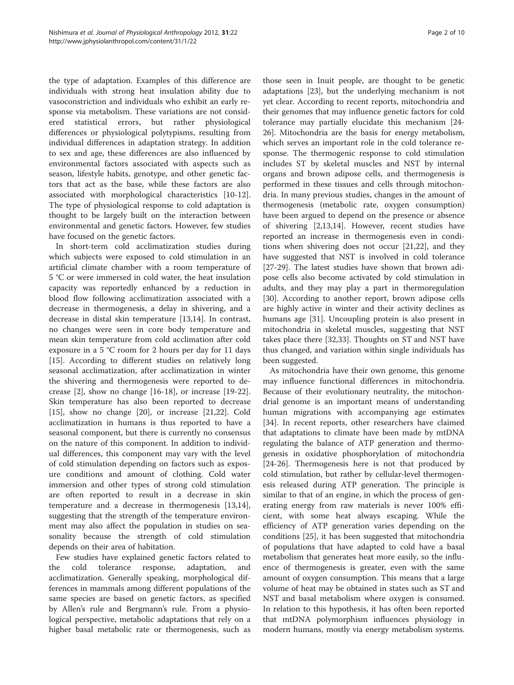the type of adaptation. Examples of this difference are individuals with strong heat insulation ability due to vasoconstriction and individuals who exhibit an early response via metabolism. These variations are not considered statistical errors, but rather physiological differences or physiological polytypisms, resulting from individual differences in adaptation strategy. In addition to sex and age, these differences are also influenced by environmental factors associated with aspects such as season, lifestyle habits, genotype, and other genetic factors that act as the base, while these factors are also associated with morphological characteristics [\[10-12](#page-9-0)]. The type of physiological response to cold adaptation is thought to be largely built on the interaction between environmental and genetic factors. However, few studies have focused on the genetic factors.

In short-term cold acclimatization studies during which subjects were exposed to cold stimulation in an artificial climate chamber with a room temperature of 5 °C or were immersed in cold water, the heat insulation capacity was reportedly enhanced by a reduction in blood flow following acclimatization associated with a decrease in thermogenesis, a delay in shivering, and a decrease in distal skin temperature [\[13,14\]](#page-9-0). In contrast, no changes were seen in core body temperature and mean skin temperature from cold acclimation after cold exposure in a 5 °C room for 2 hours per day for 11 days [[15\]](#page-9-0). According to different studies on relatively long seasonal acclimatization, after acclimatization in winter the shivering and thermogenesis were reported to decrease [[2\]](#page-9-0), show no change [\[16](#page-9-0)-[18](#page-9-0)], or increase [\[19-22](#page-9-0)]. Skin temperature has also been reported to decrease [[15\]](#page-9-0), show no change [\[20\]](#page-9-0), or increase [\[21,22](#page-9-0)]. Cold acclimatization in humans is thus reported to have a seasonal component, but there is currently no consensus on the nature of this component. In addition to individual differences, this component may vary with the level of cold stimulation depending on factors such as exposure conditions and amount of clothing. Cold water immersion and other types of strong cold stimulation are often reported to result in a decrease in skin temperature and a decrease in thermogenesis [\[13,14](#page-9-0)], suggesting that the strength of the temperature environment may also affect the population in studies on seasonality because the strength of cold stimulation depends on their area of habitation.

Few studies have explained genetic factors related to the cold tolerance response, adaptation, and acclimatization. Generally speaking, morphological differences in mammals among different populations of the same species are based on genetic factors, as specified by Allen's rule and Bergmann's rule. From a physiological perspective, metabolic adaptations that rely on a higher basal metabolic rate or thermogenesis, such as

those seen in Inuit people, are thought to be genetic adaptations [\[23](#page-9-0)], but the underlying mechanism is not yet clear. According to recent reports, mitochondria and their genomes that may influence genetic factors for cold tolerance may partially elucidate this mechanism [\[24-](#page-9-0) [26\]](#page-9-0). Mitochondria are the basis for energy metabolism, which serves an important role in the cold tolerance response. The thermogenic response to cold stimulation includes ST by skeletal muscles and NST by internal organs and brown adipose cells, and thermogenesis is performed in these tissues and cells through mitochondria. In many previous studies, changes in the amount of thermogenesis (metabolic rate, oxygen consumption) have been argued to depend on the presence or absence of shivering [[2](#page-9-0),[13](#page-9-0),[14](#page-9-0)]. However, recent studies have reported an increase in thermogenesis even in conditions when shivering does not occur [[21,22\]](#page-9-0), and they have suggested that NST is involved in cold tolerance [[27-29](#page-9-0)]. The latest studies have shown that brown adipose cells also become activated by cold stimulation in adults, and they may play a part in thermoregulation [[30\]](#page-9-0). According to another report, brown adipose cells are highly active in winter and their activity declines as humans age [[31\]](#page-9-0). Uncoupling protein is also present in mitochondria in skeletal muscles, suggesting that NST takes place there [[32,33\]](#page-9-0). Thoughts on ST and NST have thus changed, and variation within single individuals has been suggested.

As mitochondria have their own genome, this genome may influence functional differences in mitochondria. Because of their evolutionary neutrality, the mitochondrial genome is an important means of understanding human migrations with accompanying age estimates [[34\]](#page-9-0). In recent reports, other researchers have claimed that adaptations to climate have been made by mtDNA regulating the balance of ATP generation and thermogenesis in oxidative phosphorylation of mitochondria [[24-26](#page-9-0)]. Thermogenesis here is not that produced by cold stimulation, but rather by cellular-level thermogenesis released during ATP generation. The principle is similar to that of an engine, in which the process of generating energy from raw materials is never 100% efficient, with some heat always escaping. While the efficiency of ATP generation varies depending on the conditions [[25\]](#page-9-0), it has been suggested that mitochondria of populations that have adapted to cold have a basal metabolism that generates heat more easily, so the influence of thermogenesis is greater, even with the same amount of oxygen consumption. This means that a large volume of heat may be obtained in states such as ST and NST and basal metabolism where oxygen is consumed. In relation to this hypothesis, it has often been reported that mtDNA polymorphism influences physiology in modern humans, mostly via energy metabolism systems.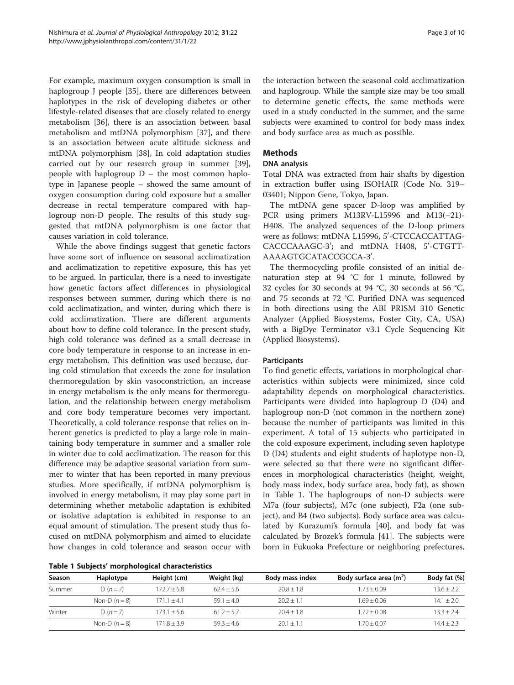For example, maximum oxygen consumption is small in haplogroup J people [\[35](#page-9-0)], there are differences between haplotypes in the risk of developing diabetes or other lifestyle-related diseases that are closely related to energy metabolism [[36\]](#page-9-0), there is an association between basal metabolism and mtDNA polymorphism [\[37\]](#page-9-0), and there is an association between acute altitude sickness and mtDNA polymorphism [[38\]](#page-9-0), In cold adaptation studies carried out by our research group in summer [\[39](#page-9-0)], people with haplogroup D – the most common haplotype in Japanese people – showed the same amount of oxygen consumption during cold exposure but a smaller decrease in rectal temperature compared with haplogroup non-D people. The results of this study suggested that mtDNA polymorphism is one factor that causes variation in cold tolerance.

While the above findings suggest that genetic factors have some sort of influence on seasonal acclimatization and acclimatization to repetitive exposure, this has yet to be argued. In particular, there is a need to investigate how genetic factors affect differences in physiological responses between summer, during which there is no cold acclimatization, and winter, during which there is cold acclimatization. There are different arguments about how to define cold tolerance. In the present study, high cold tolerance was defined as a small decrease in core body temperature in response to an increase in energy metabolism. This definition was used because, during cold stimulation that exceeds the zone for insulation thermoregulation by skin vasoconstriction, an increase in energy metabolism is the only means for thermoregulation, and the relationship between energy metabolism and core body temperature becomes very important. Theoretically, a cold tolerance response that relies on inherent genetics is predicted to play a large role in maintaining body temperature in summer and a smaller role in winter due to cold acclimatization. The reason for this difference may be adaptive seasonal variation from summer to winter that has been reported in many previous studies. More specifically, if mtDNA polymorphism is involved in energy metabolism, it may play some part in determining whether metabolic adaptation is exhibited or isolative adaptation is exhibited in response to an equal amount of stimulation. The present study thus focused on mtDNA polymorphism and aimed to elucidate how changes in cold tolerance and season occur with

the interaction between the seasonal cold acclimatization and haplogroup. While the sample size may be too small to determine genetic effects, the same methods were used in a study conducted in the summer, and the same subjects were examined to control for body mass index and body surface area as much as possible.

# **Methods**

#### DNA analysis

Total DNA was extracted from hair shafts by digestion in extraction buffer using ISOHAIR (Code No. 319– 03401; Nippon Gene, Tokyo, Japan.

The mtDNA gene spacer D-loop was amplified by PCR using primers M13RV-L15996 and M13(−21)-H408. The analyzed sequences of the D-loop primers were as follows: mtDNA L15996, 5'-CTCCACCATTAG- $CACCCAAAGC-3'$ ; and mtDNA H408, 5'-CTGTT-AAAAGTGCATACCGCCA-3'.

The thermocycling profile consisted of an initial denaturation step at 94 °C for 1 minute, followed by 32 cycles for 30 seconds at 94 °C, 30 seconds at 56 °C, and 75 seconds at 72 °C. Purified DNA was sequenced in both directions using the ABI PRISM 310 Genetic Analyzer (Applied Biosystems, Foster City, CA, USA) with a BigDye Terminator v3.1 Cycle Sequencing Kit (Applied Biosystems).

## Participants

To find genetic effects, variations in morphological characteristics within subjects were minimized, since cold adaptability depends on morphological characteristics. Participants were divided into haplogroup D (D4) and haplogroup non-D (not common in the northern zone) because the number of participants was limited in this experiment. A total of 15 subjects who participated in the cold exposure experiment, including seven haplotype D (D4) students and eight students of haplotype non-D, were selected so that there were no significant differences in morphological characteristics (height, weight, body mass index, body surface area, body fat), as shown in Table 1. The haplogroups of non-D subjects were M7a (four subjects), M7c (one subject), F2a (one subject), and B4 (two subjects). Body surface area was calculated by Kurazumi's formula [[40\]](#page-9-0), and body fat was calculated by Brozek's formula [[41\]](#page-9-0). The subjects were born in Fukuoka Prefecture or neighboring prefectures,

| Season | Haplotype     | Height (cm)   | Weight (kg)  | Body mass index | Body surface area $(m2)$ | Body fat (%)   |
|--------|---------------|---------------|--------------|-----------------|--------------------------|----------------|
| Summer | $D(n=7)$      | $172.7 + 5.8$ | $62.4 + 5.6$ | $20.8 + 1.8$    | $1.73 + 0.09$            | $13.6 \pm 2.2$ |
|        | Non-D $(n=8)$ | $171.1 + 4.1$ | $59.1 + 4.0$ | $20.2 + 1.1$    | $1.69 + 0.06$            | $14.1 \pm 2.0$ |
| Winter | $D(n=7)$      | $173.1 + 5.6$ | $61.2 + 5.7$ | $20.4 + 1.8$    | $1.72 + 0.08$            | $13.3 + 2.4$   |
|        | Non-D $(n=8)$ | $171.8 + 3.9$ | $59.3 + 4.6$ | $20.1 + 1.1$    | $1.70 + 0.07$            | $14.4 + 2.3$   |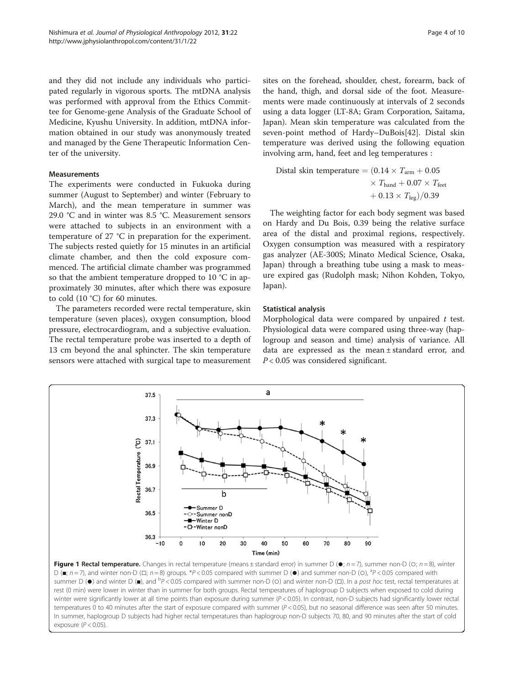<span id="page-3-0"></span>and they did not include any individuals who participated regularly in vigorous sports. The mtDNA analysis was performed with approval from the Ethics Committee for Genome-gene Analysis of the Graduate School of Medicine, Kyushu University. In addition, mtDNA information obtained in our study was anonymously treated and managed by the Gene Therapeutic Information Center of the university.

# Measurements

The experiments were conducted in Fukuoka during summer (August to September) and winter (February to March), and the mean temperature in summer was 29.0 °C and in winter was 8.5 °C. Measurement sensors were attached to subjects in an environment with a temperature of 27 °C in preparation for the experiment. The subjects rested quietly for 15 minutes in an artificial climate chamber, and then the cold exposure commenced. The artificial climate chamber was programmed so that the ambient temperature dropped to 10 °C in approximately 30 minutes, after which there was exposure to cold (10 °C) for 60 minutes.

The parameters recorded were rectal temperature, skin temperature (seven places), oxygen consumption, blood pressure, electrocardiogram, and a subjective evaluation. The rectal temperature probe was inserted to a depth of 13 cm beyond the anal sphincter. The skin temperature sensors were attached with surgical tape to measurement ments were made continuously at intervals of 2 seconds using a data logger (LT-8A; Gram Corporation, Saitama, Japan). Mean skin temperature was calculated from the seven-point method of Hardy–DuBois[\[42](#page-9-0)]. Distal skin temperature was derived using the following equation involving arm, hand, feet and leg temperatures :

Distal skin temperature  $= (0.14 \times T_{arm} + 0.05)$  $\times T_{\text{hand}} + 0.07 \times T_{\text{feet}}$  $(1.13 \times T_{\text{leg}})/0.39$ 

The weighting factor for each body segment was based on Hardy and Du Bois, 0.39 being the relative surface area of the distal and proximal regions, respectively. Oxygen consumption was measured with a respiratory gas analyzer (AE-300S; Minato Medical Science, Osaka, Japan) through a breathing tube using a mask to measure expired gas (Rudolph mask; Nihon Kohden, Tokyo, Japan).

# Statistical analysis

Morphological data were compared by unpaired  $t$  test. Physiological data were compared using three-way (haplogroup and season and time) analysis of variance. All data are expressed as the mean ± standard error, and  $P < 0.05$  was considered significant.



D ( $\equiv$ ; n = 7), and winter non-D ( $\Box$ ; n = 8) groups. \*P < 0.05 compared with summer D ( $\bullet$ ) and summer non-D ( $\bigcirc$ ),  ${}^{3}P$  < 0.05 compared with summer D ( $\bullet$ ) and winter D ( $\bullet$ ), and  ${}^{\text{b}}P$  < 0.05 compared with summer non-D (O) and winter non-D ( $\Box$ ). In a post hoc test, rectal temperatures at rest (0 min) were lower in winter than in summer for both groups. Rectal temperatures of haplogroup D subjects when exposed to cold during winter were significantly lower at all time points than exposure during summer (P < 0.05). In contrast, non-D subjects had significantly lower rectal temperatures 0 to 40 minutes after the start of exposure compared with summer ( $P < 0.05$ ), but no seasonal difference was seen after 50 minutes. In summer, haplogroup D subjects had higher rectal temperatures than haplogroup non-D subjects 70, 80, and 90 minutes after the start of cold exposure  $(P < 0.05)$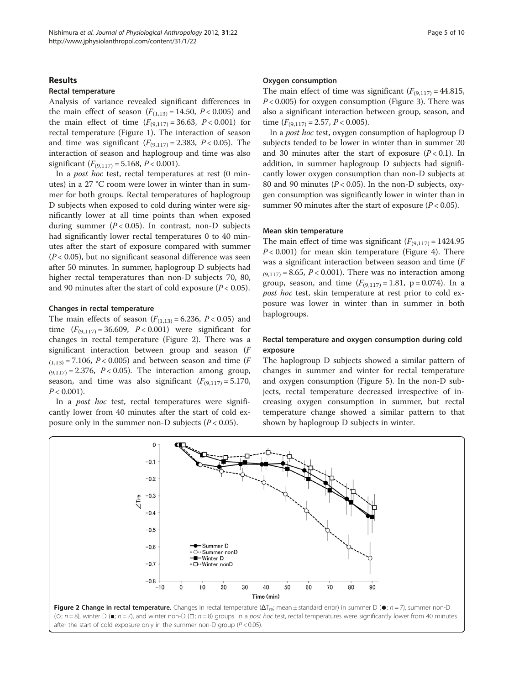## <span id="page-4-0"></span>Results

## Rectal temperature

Analysis of variance revealed significant differences in the main effect of season  $(F_{(1,13)} = 14.50, P < 0.005)$  and the main effect of time  $(F_{(9,117)} = 36.63, P < 0.001)$  for rectal temperature (Figure [1\)](#page-3-0). The interaction of season and time was significant  $(F_{(9,117)} = 2.383, P < 0.05)$ . The interaction of season and haplogroup and time was also significant  $(F_{(9,117)} = 5.168, P < 0.001)$ .

In a *post hoc* test, rectal temperatures at rest (0 minutes) in a 27 °C room were lower in winter than in summer for both groups. Rectal temperatures of haplogroup D subjects when exposed to cold during winter were significantly lower at all time points than when exposed during summer  $(P < 0.05)$ . In contrast, non-D subjects had significantly lower rectal temperatures 0 to 40 minutes after the start of exposure compared with summer  $(P < 0.05)$ , but no significant seasonal difference was seen after 50 minutes. In summer, haplogroup D subjects had higher rectal temperatures than non-D subjects 70, 80, and 90 minutes after the start of cold exposure ( $P < 0.05$ ).

#### Changes in rectal temperature

The main effects of season  $(F_{(1,13)} = 6.236, P < 0.05)$  and time  $(F_{(9,117)} = 36.609, P < 0.001)$  were significant for changes in rectal temperature (Figure 2). There was a significant interaction between group and season (F  $(1.13) = 7.106$ ,  $P < 0.005$ ) and between season and time (F)  $(9,117) = 2.376$ ,  $P < 0.05$ ). The interaction among group, season, and time was also significant  $(F_{(9,117)} = 5.170$ ,  $P < 0.001$ ).

In a *post hoc* test, rectal temperatures were significantly lower from 40 minutes after the start of cold exposure only in the summer non-D subjects ( $P < 0.05$ ).

#### Oxygen consumption

The main effect of time was significant  $(F_{(9,117)} = 44.815$ ,  $P < 0.005$ ) for oxygen consumption (Figure [3\)](#page-5-0). There was also a significant interaction between group, season, and time  $(F_{(9,117)} = 2.57, P < 0.005)$ .

In a post hoc test, oxygen consumption of haplogroup D subjects tended to be lower in winter than in summer 20 and 30 minutes after the start of exposure  $(P < 0.1)$ . In addition, in summer haplogroup D subjects had significantly lower oxygen consumption than non-D subjects at 80 and 90 minutes ( $P < 0.05$ ). In the non-D subjects, oxygen consumption was significantly lower in winter than in summer 90 minutes after the start of exposure  $(P < 0.05)$ .

#### Mean skin temperature

The main effect of time was significant  $(F_{(9,117)} = 1424.95$  $P < 0.001$ ) for mean skin temperature (Figure [4\)](#page-5-0). There was a significant interaction between season and time (F  $(9,117) = 8.65$ ,  $P < 0.001$ ). There was no interaction among group, season, and time  $(F_{(9,117)} = 1.81, p = 0.074)$ . In a post hoc test, skin temperature at rest prior to cold exposure was lower in winter than in summer in both haplogroups.

# Rectal temperature and oxygen consumption during cold exposure

The haplogroup D subjects showed a similar pattern of changes in summer and winter for rectal temperature and oxygen consumption (Figure [5\)](#page-6-0). In the non-D subjects, rectal temperature decreased irrespective of increasing oxygen consumption in summer, but rectal temperature change showed a similar pattern to that shown by haplogroup D subjects in winter.

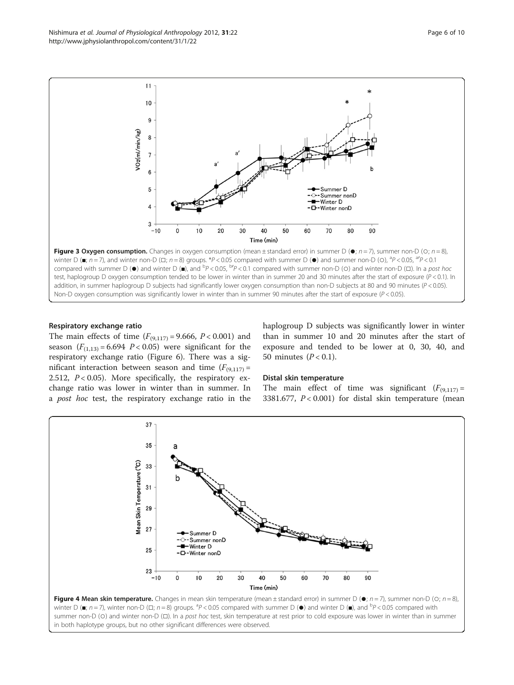Respiratory exchange ratio The main effects of time  $(F_{(9,117)} = 9.666, P < 0.001)$  and season  $(F<sub>(1,13)</sub> = 6.694 P < 0.05)$  were significant for the respiratory exchange ratio (Figure [6\)](#page-6-0). There was a significant interaction between season and time  $(F_{(9,117)} =$ 2.512,  $P < 0.05$ ). More specifically, the respiratory exchange ratio was lower in winter than in summer. In a post hoc test, the respiratory exchange ratio in the haplogroup D subjects was significantly lower in winter than in summer 10 and 20 minutes after the start of exposure and tended to be lower at 0, 30, 40, and 50 minutes  $(P < 0.1)$ .

## Distal skin temperature

The main effect of time was significant  $(F_{(9,117)} =$ 3381.677,  $P < 0.001$ ) for distal skin temperature (mean



<span id="page-5-0"></span>

Figure 3 Oxygen consumption. Changes in oxygen consumption (mean ± standard error) in summer D ( $\bullet$ ; n = 7), summer non-D ( $\circ$ ; n = 8), winter D ( $\equiv$ ; n = 7), and winter non-D ( $\Box$ ; n = 8) groups. \*P < 0.05 compared with summer D ( $\bullet$ ) and summer non-D ( $\bigcirc$ ),  ${}^{a}P$  < 0.05,  ${}^{a}P$  < 0.15,  ${}^{a}P$  < 0.1 compared with summer D ( $\bullet$ ) and winter D ( $\bullet$ ), and  $\overline{P}$  < 0.05,  $\overline{P}$  < 0.1 compared with summer non-D (O) and winter non-D ( $\Box$ ). In a post hoc test, haplogroup D oxygen consumption tended to be lower in winter than in summer 20 and 30 minutes after the start of exposure (P < 0.1). In addition, in summer haplogroup D subjects had significantly lower oxygen consumption than non-D subjects at 80 and 90 minutes ( $P < 0.05$ ).

Time (min)

Non-D oxygen consumption was significantly lower in winter than in summer 90 minutes after the start of exposure ( $P < 0.05$ ).

 $11$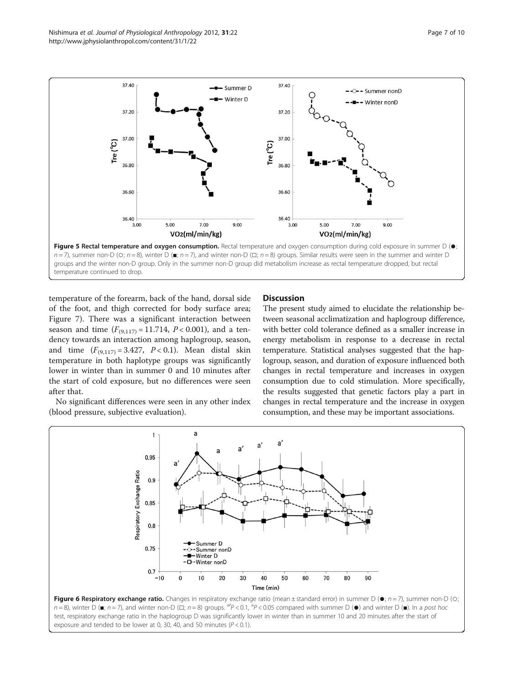<span id="page-6-0"></span>

temperature of the forearm, back of the hand, dorsal side of the foot, and thigh corrected for body surface area; Figure [7](#page-7-0)). There was a significant interaction between season and time  $(F_{(9,117)} = 11.714, P < 0.001)$ , and a tendency towards an interaction among haplogroup, season, and time  $(F_{(9,117)} = 3.427, P < 0.1)$ . Mean distal skin temperature in both haplotype groups was significantly lower in winter than in summer 0 and 10 minutes after the start of cold exposure, but no differences were seen after that.

No significant differences were seen in any other index (blood pressure, subjective evaluation).

exposure and tended to be lower at 0, 30, 40, and 50 minutes ( $P < 0.1$ ).

# **Discussion**

The present study aimed to elucidate the relationship between seasonal acclimatization and haplogroup difference, with better cold tolerance defined as a smaller increase in energy metabolism in response to a decrease in rectal temperature. Statistical analyses suggested that the haplogroup, season, and duration of exposure influenced both changes in rectal temperature and increases in oxygen consumption due to cold stimulation. More specifically, the results suggested that genetic factors play a part in changes in rectal temperature and the increase in oxygen consumption, and these may be important associations.

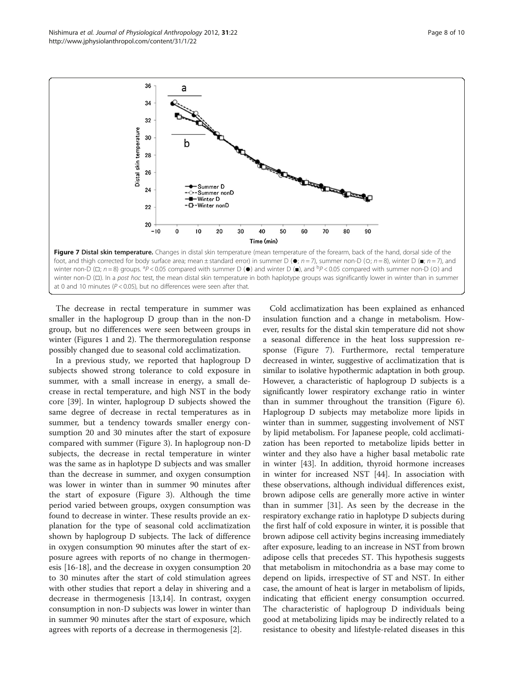The decrease in rectal temperature in summer was smaller in the haplogroup D group than in the non-D group, but no differences were seen between groups in winter (Figures [1](#page-3-0) and [2\)](#page-4-0). The thermoregulation response possibly changed due to seasonal cold acclimatization.

In a previous study, we reported that haplogroup D subjects showed strong tolerance to cold exposure in summer, with a small increase in energy, a small decrease in rectal temperature, and high NST in the body core [\[39](#page-9-0)]. In winter, haplogroup D subjects showed the same degree of decrease in rectal temperatures as in summer, but a tendency towards smaller energy consumption 20 and 30 minutes after the start of exposure compared with summer (Figure [3](#page-5-0)). In haplogroup non-D subjects, the decrease in rectal temperature in winter was the same as in haplotype D subjects and was smaller than the decrease in summer, and oxygen consumption was lower in winter than in summer 90 minutes after the start of exposure (Figure [3](#page-5-0)). Although the time period varied between groups, oxygen consumption was found to decrease in winter. These results provide an explanation for the type of seasonal cold acclimatization shown by haplogroup D subjects. The lack of difference in oxygen consumption 90 minutes after the start of exposure agrees with reports of no change in thermogenesis [\[16](#page-9-0)-[18\]](#page-9-0), and the decrease in oxygen consumption 20 to 30 minutes after the start of cold stimulation agrees with other studies that report a delay in shivering and a decrease in thermogenesis [\[13,14\]](#page-9-0). In contrast, oxygen consumption in non-D subjects was lower in winter than in summer 90 minutes after the start of exposure, which agrees with reports of a decrease in thermogenesis [[2\]](#page-9-0).

Cold acclimatization has been explained as enhanced insulation function and a change in metabolism. However, results for the distal skin temperature did not show a seasonal difference in the heat loss suppression response (Figure 7). Furthermore, rectal temperature decreased in winter, suggestive of acclimatization that is similar to isolative hypothermic adaptation in both group. However, a characteristic of haplogroup D subjects is a significantly lower respiratory exchange ratio in winter than in summer throughout the transition (Figure [6](#page-6-0)). Haplogroup D subjects may metabolize more lipids in winter than in summer, suggesting involvement of NST by lipid metabolism. For Japanese people, cold acclimatization has been reported to metabolize lipids better in winter and they also have a higher basal metabolic rate in winter [\[43](#page-9-0)]. In addition, thyroid hormone increases in winter for increased NST [[44\]](#page-9-0). In association with these observations, although individual differences exist, brown adipose cells are generally more active in winter than in summer [\[31](#page-9-0)]. As seen by the decrease in the respiratory exchange ratio in haplotype D subjects during the first half of cold exposure in winter, it is possible that brown adipose cell activity begins increasing immediately after exposure, leading to an increase in NST from brown adipose cells that precedes ST. This hypothesis suggests that metabolism in mitochondria as a base may come to depend on lipids, irrespective of ST and NST. In either case, the amount of heat is larger in metabolism of lipids, indicating that efficient energy consumption occurred. The characteristic of haplogroup D individuals being good at metabolizing lipids may be indirectly related to a resistance to obesity and lifestyle-related diseases in this



<span id="page-7-0"></span>

36

34  $32$ 

a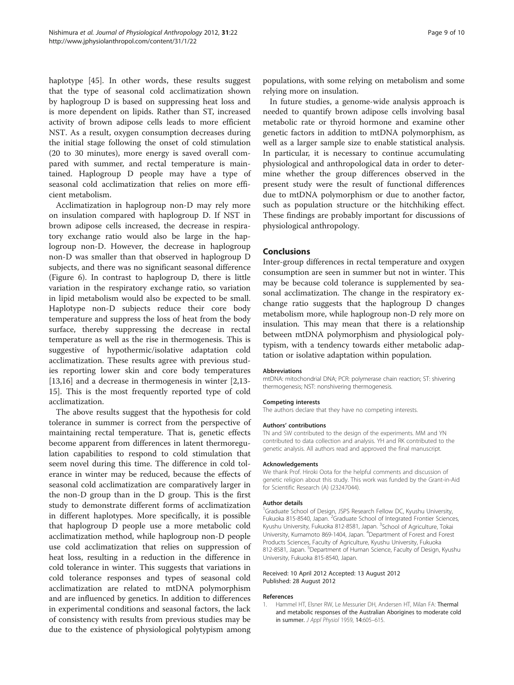<span id="page-8-0"></span>haplotype [\[45](#page-9-0)]. In other words, these results suggest that the type of seasonal cold acclimatization shown by haplogroup D is based on suppressing heat loss and is more dependent on lipids. Rather than ST, increased activity of brown adipose cells leads to more efficient NST. As a result, oxygen consumption decreases during the initial stage following the onset of cold stimulation (20 to 30 minutes), more energy is saved overall compared with summer, and rectal temperature is maintained. Haplogroup D people may have a type of seasonal cold acclimatization that relies on more efficient metabolism.

Acclimatization in haplogroup non-D may rely more on insulation compared with haplogroup D. If NST in brown adipose cells increased, the decrease in respiratory exchange ratio would also be large in the haplogroup non-D. However, the decrease in haplogroup non-D was smaller than that observed in haplogroup D subjects, and there was no significant seasonal difference (Figure [6](#page-6-0)). In contrast to haplogroup D, there is little variation in the respiratory exchange ratio, so variation in lipid metabolism would also be expected to be small. Haplotype non-D subjects reduce their core body temperature and suppress the loss of heat from the body surface, thereby suppressing the decrease in rectal temperature as well as the rise in thermogenesis. This is suggestive of hypothermic/isolative adaptation cold acclimatization. These results agree with previous studies reporting lower skin and core body temperatures [[13,16\]](#page-9-0) and a decrease in thermogenesis in winter [\[2,13-](#page-9-0) [15\]](#page-9-0). This is the most frequently reported type of cold acclimatization.

The above results suggest that the hypothesis for cold tolerance in summer is correct from the perspective of maintaining rectal temperature. That is, genetic effects become apparent from differences in latent thermoregulation capabilities to respond to cold stimulation that seem novel during this time. The difference in cold tolerance in winter may be reduced, because the effects of seasonal cold acclimatization are comparatively larger in the non-D group than in the D group. This is the first study to demonstrate different forms of acclimatization in different haplotypes. More specifically, it is possible that haplogroup D people use a more metabolic cold acclimatization method, while haplogroup non-D people use cold acclimatization that relies on suppression of heat loss, resulting in a reduction in the difference in cold tolerance in winter. This suggests that variations in cold tolerance responses and types of seasonal cold acclimatization are related to mtDNA polymorphism and are influenced by genetics. In addition to differences in experimental conditions and seasonal factors, the lack of consistency with results from previous studies may be due to the existence of physiological polytypism among

populations, with some relying on metabolism and some relying more on insulation.

In future studies, a genome-wide analysis approach is needed to quantify brown adipose cells involving basal metabolic rate or thyroid hormone and examine other genetic factors in addition to mtDNA polymorphism, as well as a larger sample size to enable statistical analysis. In particular, it is necessary to continue accumulating physiological and anthropological data in order to determine whether the group differences observed in the present study were the result of functional differences due to mtDNA polymorphism or due to another factor, such as population structure or the hitchhiking effect. These findings are probably important for discussions of physiological anthropology.

# Conclusions

Inter-group differences in rectal temperature and oxygen consumption are seen in summer but not in winter. This may be because cold tolerance is supplemented by seasonal acclimatization. The change in the respiratory exchange ratio suggests that the haplogroup D changes metabolism more, while haplogroup non-D rely more on insulation. This may mean that there is a relationship between mtDNA polymorphism and physiological polytypism, with a tendency towards either metabolic adaptation or isolative adaptation within population.

#### Abbreviations

mtDNA: mitochondrial DNA; PCR: polymerase chain reaction; ST: shivering thermogenesis; NST: nonshivering thermogenesis.

#### Competing interests

The authors declare that they have no competing interests.

#### Authors' contributions

TN and SW contributed to the design of the experiments. MM and YN contributed to data collection and analysis. YH and RK contributed to the genetic analysis. All authors read and approved the final manuscript.

#### Acknowledgements

We thank Prof. Hiroki Oota for the helpful comments and discussion of genetic religion about this study. This work was funded by the Grant-in-Aid for Scientific Research (A) (23247044).

#### Author details

<sup>1</sup>Graduate School of Design, JSPS Research Fellow DC, Kyushu University, Fukuoka 815-8540, Japan. <sup>2</sup>Graduate School of Integrated Frontier Sciences Kyushu University, Fukuoka 812-8581, Japan. <sup>3</sup>School of Agriculture, Tokai University, Kumamoto 869-1404, Japan. <sup>4</sup> Department of Forest and Forest Products Sciences, Faculty of Agriculture, Kyushu University, Fukuoka 812-8581, Japan. <sup>5</sup>Department of Human Science, Faculty of Design, Kyushu University, Fukuoka 815-8540, Japan.

#### Received: 10 April 2012 Accepted: 13 August 2012 Published: 28 August 2012

#### References

1. Hammel HT, Elsner RW, Le Messurier DH, Andersen HT, Milan FA: Thermal and metabolic responses of the Australian Aborigines to moderate cold in summer. J Appl Physiol 1959, 14:605–615.